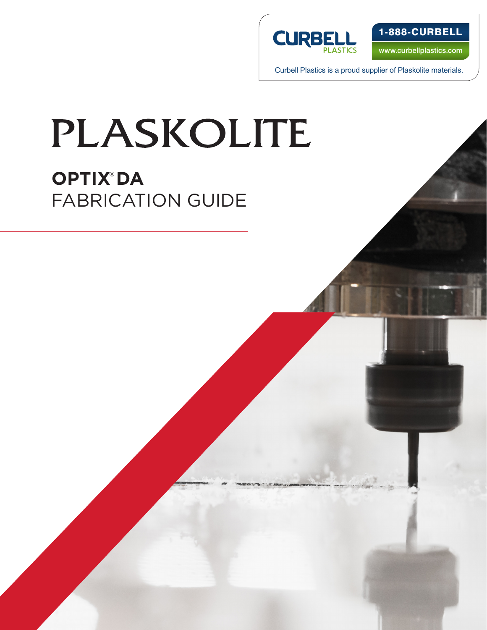

1-888-CURBELL

www.curbellplastics.com

Curbell Plastics is a proud supplier of Plaskolite materials.

# PLASKOLITE **OPTIX®DA** FABRICATION GUIDE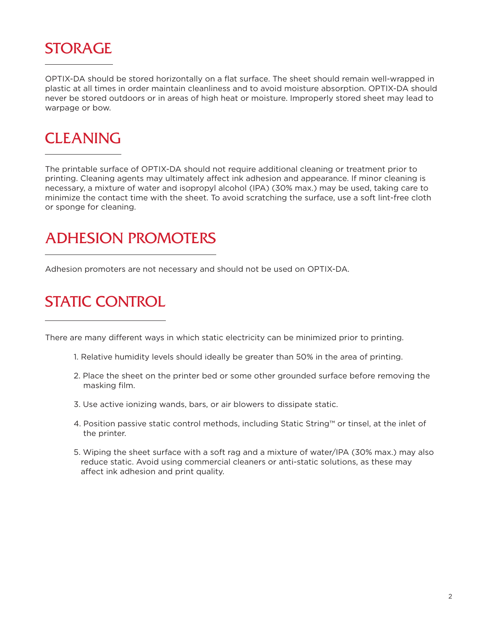## STORAGE

OPTIX-DA should be stored horizontally on a flat surface. The sheet should remain well-wrapped in plastic at all times in order maintain cleanliness and to avoid moisture absorption. OPTIX-DA should never be stored outdoors or in areas of high heat or moisture. Improperly stored sheet may lead to warpage or bow.

#### **CLEANING**

The printable surface of OPTIX-DA should not require additional cleaning or treatment prior to printing. Cleaning agents may ultimately affect ink adhesion and appearance. If minor cleaning is necessary, a mixture of water and isopropyl alcohol (IPA) (30% max.) may be used, taking care to minimize the contact time with the sheet. To avoid scratching the surface, use a soft lint-free cloth or sponge for cleaning.

#### ADHESION PROMOTERS

Adhesion promoters are not necessary and should not be used on OPTIX-DA.

## STATIC CONTROL

There are many different ways in which static electricity can be minimized prior to printing.

- 1. Relative humidity levels should ideally be greater than 50% in the area of printing.
- 2. Place the sheet on the printer bed or some other grounded surface before removing the masking film.
- 3. Use active ionizing wands, bars, or air blowers to dissipate static.
- 4. Position passive static control methods, including Static String™ or tinsel, at the inlet of the printer.
- 5. Wiping the sheet surface with a soft rag and a mixture of water/IPA (30% max.) may also reduce static. Avoid using commercial cleaners or anti-static solutions, as these may affect ink adhesion and print quality.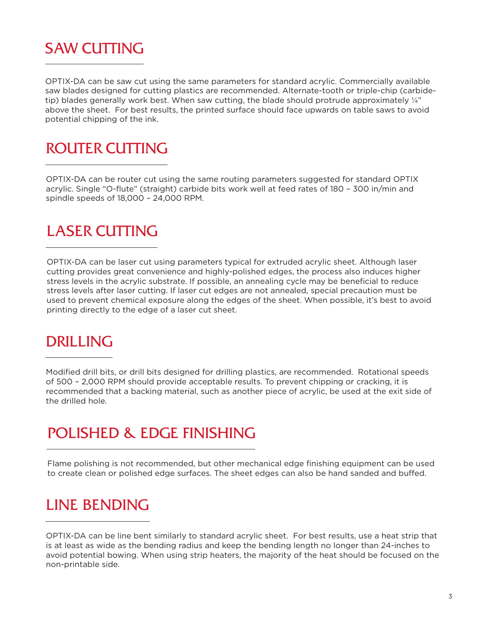# SAW CUTTING

OPTIX-DA can be saw cut using the same parameters for standard acrylic. Commercially available saw blades designed for cutting plastics are recommended. Alternate-tooth or triple-chip (carbidetip) blades generally work best. When saw cutting, the blade should protrude approximately ¼" above the sheet. For best results, the printed surface should face upwards on table saws to avoid potential chipping of the ink.

#### ROUTER CUTTING

OPTIX-DA can be router cut using the same routing parameters suggested for standard OPTIX acrylic. Single "O-flute" (straight) carbide bits work well at feed rates of 180 – 300 in/min and spindle speeds of 18,000 – 24,000 RPM.

#### LASER CUTTING

OPTIX-DA can be laser cut using parameters typical for extruded acrylic sheet. Although laser cutting provides great convenience and highly-polished edges, the process also induces higher stress levels in the acrylic substrate. If possible, an annealing cycle may be beneficial to reduce stress levels after laser cutting. If laser cut edges are not annealed, special precaution must be used to prevent chemical exposure along the edges of the sheet. When possible, it's best to avoid printing directly to the edge of a laser cut sheet.

#### DRILLING

Modified drill bits, or drill bits designed for drilling plastics, are recommended. Rotational speeds of 500 – 2,000 RPM should provide acceptable results. To prevent chipping or cracking, it is recommended that a backing material, such as another piece of acrylic, be used at the exit side of the drilled hole.

#### POLISHED & EDGE FINISHING

Flame polishing is not recommended, but other mechanical edge finishing equipment can be used to create clean or polished edge surfaces. The sheet edges can also be hand sanded and buffed.

#### LINE BENDING

OPTIX-DA can be line bent similarly to standard acrylic sheet. For best results, use a heat strip that is at least as wide as the bending radius and keep the bending length no longer than 24-inches to avoid potential bowing. When using strip heaters, the majority of the heat should be focused on the non-printable side.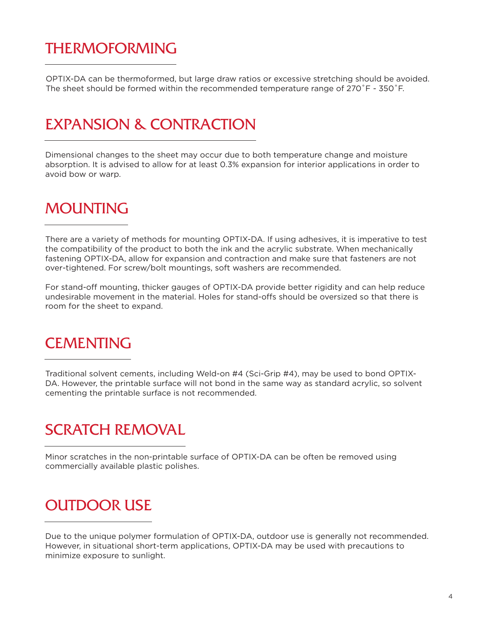## THERMOFORMING

OPTIX-DA can be thermoformed, but large draw ratios or excessive stretching should be avoided. The sheet should be formed within the recommended temperature range of 270˚F - 350˚F.

#### EXPANSION & CONTRACTION

Dimensional changes to the sheet may occur due to both temperature change and moisture absorption. It is advised to allow for at least 0.3% expansion for interior applications in order to avoid bow or warp.

#### **MOUNTING**

There are a variety of methods for mounting OPTIX-DA. If using adhesives, it is imperative to test the compatibility of the product to both the ink and the acrylic substrate. When mechanically fastening OPTIX-DA, allow for expansion and contraction and make sure that fasteners are not over-tightened. For screw/bolt mountings, soft washers are recommended.

For stand-off mounting, thicker gauges of OPTIX-DA provide better rigidity and can help reduce undesirable movement in the material. Holes for stand-offs should be oversized so that there is room for the sheet to expand.

#### **CEMENTING**

Traditional solvent cements, including Weld-on #4 (Sci-Grip #4), may be used to bond OPTIX-DA. However, the printable surface will not bond in the same way as standard acrylic, so solvent cementing the printable surface is not recommended.

#### SCRATCH REMOVAL

Minor scratches in the non-printable surface of OPTIX-DA can be often be removed using commercially available plastic polishes.

#### OUTDOOR USE

Due to the unique polymer formulation of OPTIX-DA, outdoor use is generally not recommended. However, in situational short-term applications, OPTIX-DA may be used with precautions to minimize exposure to sunlight.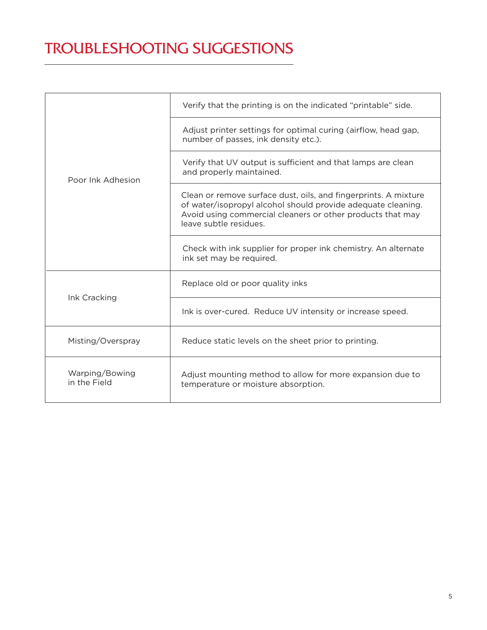# TROUBLESHOOTING SUGGESTIONS

| Poor Ink Adhesion              | Verify that the printing is on the indicated "printable" side.                                                                                                                                                          |
|--------------------------------|-------------------------------------------------------------------------------------------------------------------------------------------------------------------------------------------------------------------------|
|                                | Adjust printer settings for optimal curing (airflow, head gap,<br>number of passes, ink density etc.).                                                                                                                  |
|                                | Verify that UV output is sufficient and that lamps are clean<br>and properly maintained.                                                                                                                                |
|                                | Clean or remove surface dust, oils, and fingerprints. A mixture<br>of water/isopropyl alcohol should provide adequate cleaning.<br>Avoid using commercial cleaners or other products that may<br>leave subtle residues. |
|                                | Check with ink supplier for proper ink chemistry. An alternate<br>ink set may be required.                                                                                                                              |
| Ink Cracking                   | Replace old or poor quality inks                                                                                                                                                                                        |
|                                | Ink is over-cured. Reduce UV intensity or increase speed.                                                                                                                                                               |
| Misting/Overspray              | Reduce static levels on the sheet prior to printing.                                                                                                                                                                    |
| Warping/Bowing<br>in the Field | Adjust mounting method to allow for more expansion due to<br>temperature or moisture absorption.                                                                                                                        |